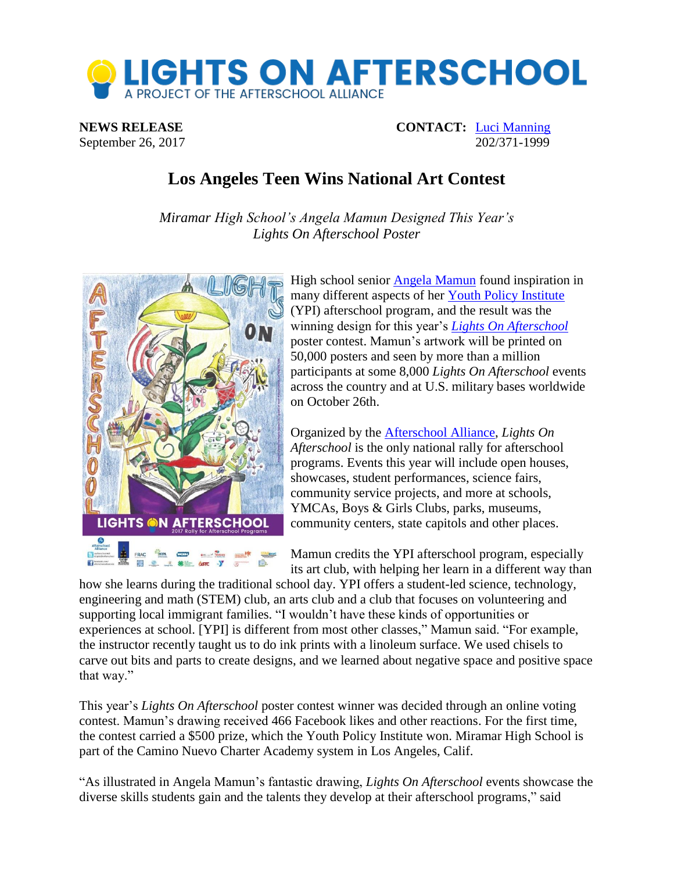

**NEWS RELEASE CONTACT:** [Luci Manning](mailto:luci@prsolutionsdc.com) September 26, 2017 202/371-1999

## **Los Angeles Teen Wins National Art Contest**

*Miramar High School's Angela Mamun Designed This Year's Lights On Afterschool Poster*



High school senior [Angela Mamun](http://www.afterschoolalliance.org/afterschoolSnack/Congratulations-to-Angela-Mamun-winner-of-the-2017-Lights-On_07-25-2017.cfm) found inspiration in many different aspects of her [Youth Policy Institute](http://www.ypiusa.org/) (YPI) afterschool program, and the result was the winning design for this year's *[Lights On Afterschool](http://www.afterschoolalliance.org/loa.cfm)* poster contest. Mamun's artwork will be printed on 50,000 posters and seen by more than a million participants at some 8,000 *Lights On Afterschool* events across the country and at U.S. military bases worldwide on October 26th.

Organized by the [Afterschool Alliance,](http://www.afterschoolalliance.org/) *Lights On Afterschool* is the only national rally for afterschool programs. Events this year will include open houses, showcases, student performances, science fairs, community service projects, and more at schools, YMCAs, Boys & Girls Clubs, parks, museums, community centers, state capitols and other places.

Mamun credits the YPI afterschool program, especially its art club, with helping her learn in a different way than

how she learns during the traditional school day. YPI offers a student-led science, technology, engineering and math (STEM) club, an arts club and a club that focuses on volunteering and supporting local immigrant families. "I wouldn't have these kinds of opportunities or experiences at school. [YPI] is different from most other classes," Mamun said. "For example, the instructor recently taught us to do ink prints with a linoleum surface. We used chisels to carve out bits and parts to create designs, and we learned about negative space and positive space that way."

This year's *Lights On Afterschool* poster contest winner was decided through an online voting contest. Mamun's drawing received 466 Facebook likes and other reactions. For the first time, the contest carried a \$500 prize, which the Youth Policy Institute won. Miramar High School is part of the Camino Nuevo Charter Academy system in Los Angeles, Calif.

"As illustrated in Angela Mamun's fantastic drawing, *Lights On Afterschool* events showcase the diverse skills students gain and the talents they develop at their afterschool programs," said